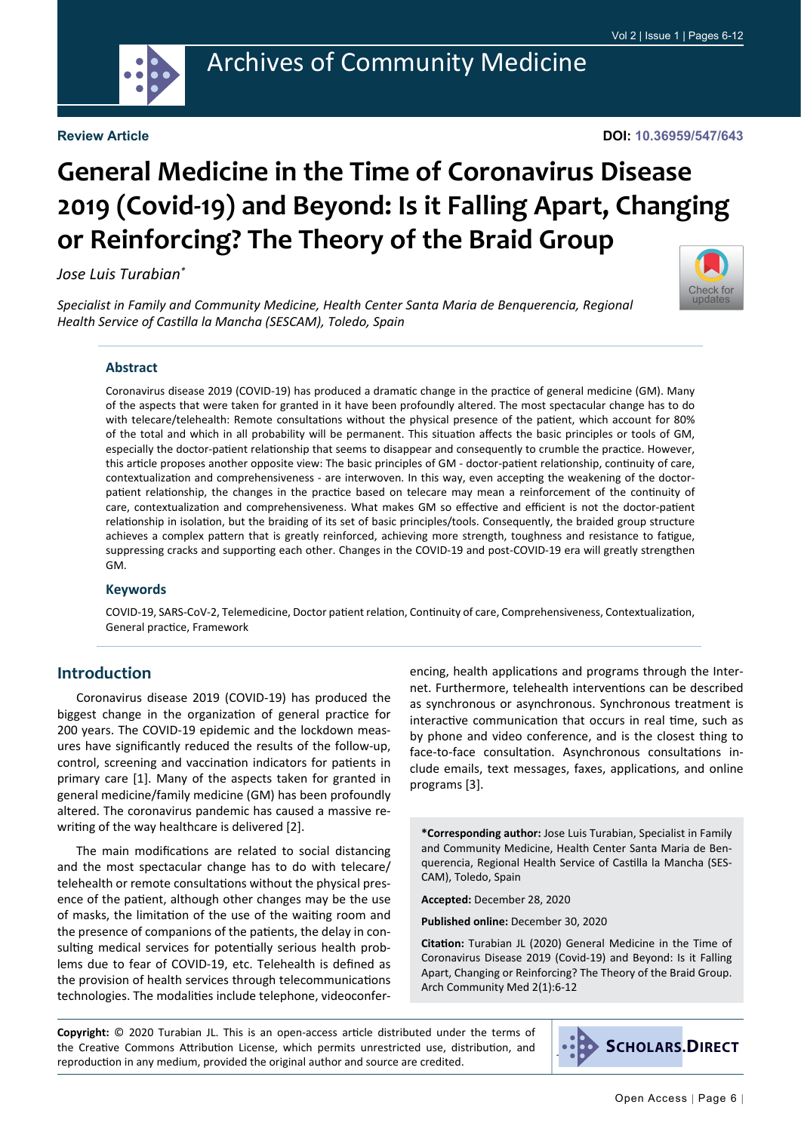

#### **Review Article**

#### **DOI: 10.36959/547/643**

# **General Medicine in the Time of Coronavirus Disease 2019 (Covid-19) and Beyond: Is it Falling Apart, Changing or Reinforcing? The Theory of the Braid Group**

#### *Jose Luis Turabian\**



*Specialist in Family and Community Medicine, Health Center Santa Maria de Benquerencia, Regional Health Service of Castilla la Mancha (SESCAM), Toledo, Spain*

#### **Abstract**

Coronavirus disease 2019 (COVID-19) has produced a dramatic change in the practice of general medicine (GM). Many of the aspects that were taken for granted in it have been profoundly altered. The most spectacular change has to do with telecare/telehealth: Remote consultations without the physical presence of the patient, which account for 80% of the total and which in all probability will be permanent. This situation affects the basic principles or tools of GM, especially the doctor-patient relationship that seems to disappear and consequently to crumble the practice. However, this article proposes another opposite view: The basic principles of GM - doctor-patient relationship, continuity of care, contextualization and comprehensiveness - are interwoven. In this way, even accepting the weakening of the doctorpatient relationship, the changes in the practice based on telecare may mean a reinforcement of the continuity of care, contextualization and comprehensiveness. What makes GM so effective and efficient is not the doctor-patient relationship in isolation, but the braiding of its set of basic principles/tools. Consequently, the braided group structure achieves a complex pattern that is greatly reinforced, achieving more strength, toughness and resistance to fatigue, suppressing cracks and supporting each other. Changes in the COVID-19 and post-COVID-19 era will greatly strengthen GM.

#### **Keywords**

COVID-19, SARS-CoV-2, Telemedicine, Doctor patient relation, Continuity of care, Comprehensiveness, Contextualization, General practice, Framework

#### **Introduction**

Coronavirus disease 2019 (COVID-19) has produced the biggest change in the organization of general practice for 200 years. The COVID-19 epidemic and the lockdown measures have significantly reduced the results of the follow-up, control, screening and vaccination indicators for patients in primary care [1]. Many of the aspects taken for granted in general medicine/family medicine (GM) has been profoundly altered. The coronavirus pandemic has caused a massive rewriting of the way healthcare is delivered [2].

The main modifications are related to social distancing and the most spectacular change has to do with telecare/ telehealth or remote consultations without the physical presence of the patient, although other changes may be the use of masks, the limitation of the use of the waiting room and the presence of companions of the patients, the delay in consulting medical services for potentially serious health problems due to fear of COVID-19, etc. Telehealth is defined as the provision of health services through telecommunications technologies. The modalities include telephone, videoconferencing, health applications and programs through the Internet. Furthermore, telehealth interventions can be described as synchronous or asynchronous. Synchronous treatment is interactive communication that occurs in real time, such as by phone and video conference, and is the closest thing to face-to-face consultation. Asynchronous consultations include emails, text messages, faxes, applications, and online programs [3].

**\*Corresponding author:** Jose Luis Turabian, Specialist in Family and Community Medicine, Health Center Santa Maria de Benquerencia, Regional Health Service of Castilla la Mancha (SES-CAM), Toledo, Spain

**Accepted:** December 28, 2020

**Published online:** December 30, 2020

**Citation:** Turabian JL (2020) General Medicine in the Time of Coronavirus Disease 2019 (Covid-19) and Beyond: Is it Falling Apart, Changing or Reinforcing? The Theory of the Braid Group. Arch Community Med 2(1):6-12

**Copyright:** © 2020 Turabian JL. This is an open-access article distributed under the terms of the Creative Commons Attribution License, which permits unrestricted use, distribution, and reproduction in any medium, provided the original author and source are credited.

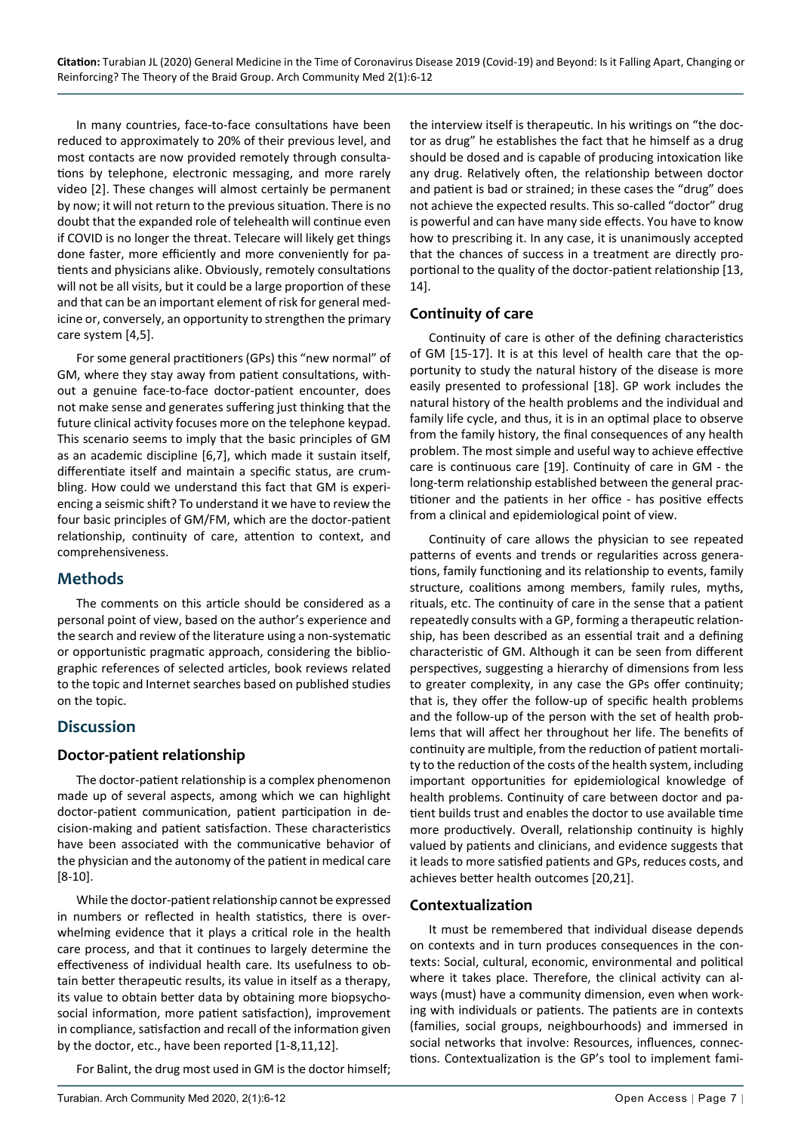In many countries, face-to-face consultations have been reduced to approximately to 20% of their previous level, and most contacts are now provided remotely through consultations by telephone, electronic messaging, and more rarely video [2]. These changes will almost certainly be permanent by now; it will not return to the previous situation. There is no doubt that the expanded role of telehealth will continue even if COVID is no longer the threat. Telecare will likely get things done faster, more efficiently and more conveniently for patients and physicians alike. Obviously, remotely consultations will not be all visits, but it could be a large proportion of these and that can be an important element of risk for general medicine or, conversely, an opportunity to strengthen the primary care system [4,5].

For some general practitioners (GPs) this "new normal" of GM, where they stay away from patient consultations, without a genuine face-to-face doctor-patient encounter, does not make sense and generates suffering just thinking that the future clinical activity focuses more on the telephone keypad. This scenario seems to imply that the basic principles of GM as an academic discipline [6,7], which made it sustain itself, differentiate itself and maintain a specific status, are crumbling. How could we understand this fact that GM is experiencing a seismic shift? To understand it we have to review the four basic principles of GM/FM, which are the doctor-patient relationship, continuity of care, attention to context, and comprehensiveness.

## **Methods**

The comments on this article should be considered as a personal point of view, based on the author's experience and the search and review of the literature using a non-systematic or opportunistic pragmatic approach, considering the bibliographic references of selected articles, book reviews related to the topic and Internet searches based on published studies on the topic.

## **Discussion**

## **Doctor-patient relationship**

The doctor-patient relationship is a complex phenomenon made up of several aspects, among which we can highlight doctor-patient communication, patient participation in decision-making and patient satisfaction. These characteristics have been associated with the communicative behavior of the physician and the autonomy of the patient in medical care [8-10].

While the doctor-patient relationship cannot be expressed in numbers or reflected in health statistics, there is overwhelming evidence that it plays a critical role in the health care process, and that it continues to largely determine the effectiveness of individual health care. Its usefulness to obtain better therapeutic results, its value in itself as a therapy, its value to obtain better data by obtaining more biopsychosocial information, more patient satisfaction), improvement in compliance, satisfaction and recall of the information given by the doctor, etc., have been reported [1-8,11,12].

For Balint, the drug most used in GM is the doctor himself;

the interview itself is therapeutic. In his writings on "the doctor as drug" he establishes the fact that he himself as a drug should be dosed and is capable of producing intoxication like any drug. Relatively often, the relationship between doctor and patient is bad or strained; in these cases the "drug" does not achieve the expected results. This so-called "doctor" drug is powerful and can have many side effects. You have to know how to prescribing it. In any case, it is unanimously accepted that the chances of success in a treatment are directly proportional to the quality of the doctor-patient relationship [13, 14].

#### **Continuity of care**

Continuity of care is other of the defining characteristics of GM [15-17]. It is at this level of health care that the opportunity to study the natural history of the disease is more easily presented to professional [18]. GP work includes the natural history of the health problems and the individual and family life cycle, and thus, it is in an optimal place to observe from the family history, the final consequences of any health problem. The most simple and useful way to achieve effective care is continuous care [19]. Continuity of care in GM - the long-term relationship established between the general practitioner and the patients in her office - has positive effects from a clinical and epidemiological point of view.

Continuity of care allows the physician to see repeated patterns of events and trends or regularities across generations, family functioning and its relationship to events, family structure, coalitions among members, family rules, myths, rituals, etc. The continuity of care in the sense that a patient repeatedly consults with a GP, forming a therapeutic relationship, has been described as an essential trait and a defining characteristic of GM. Although it can be seen from different perspectives, suggesting a hierarchy of dimensions from less to greater complexity, in any case the GPs offer continuity; that is, they offer the follow-up of specific health problems and the follow-up of the person with the set of health problems that will affect her throughout her life. The benefits of continuity are multiple, from the reduction of patient mortality to the reduction of the costs of the health system, including important opportunities for epidemiological knowledge of health problems. Continuity of care between doctor and patient builds trust and enables the doctor to use available time more productively. Overall, relationship continuity is highly valued by patients and clinicians, and evidence suggests that it leads to more satisfied patients and GPs, reduces costs, and achieves better health outcomes [20,21].

## **Contextualization**

It must be remembered that individual disease depends on contexts and in turn produces consequences in the contexts: Social, cultural, economic, environmental and political where it takes place. Therefore, the clinical activity can always (must) have a community dimension, even when working with individuals or patients. The patients are in contexts (families, social groups, neighbourhoods) and immersed in social networks that involve: Resources, influences, connections. Contextualization is the GP's tool to implement fami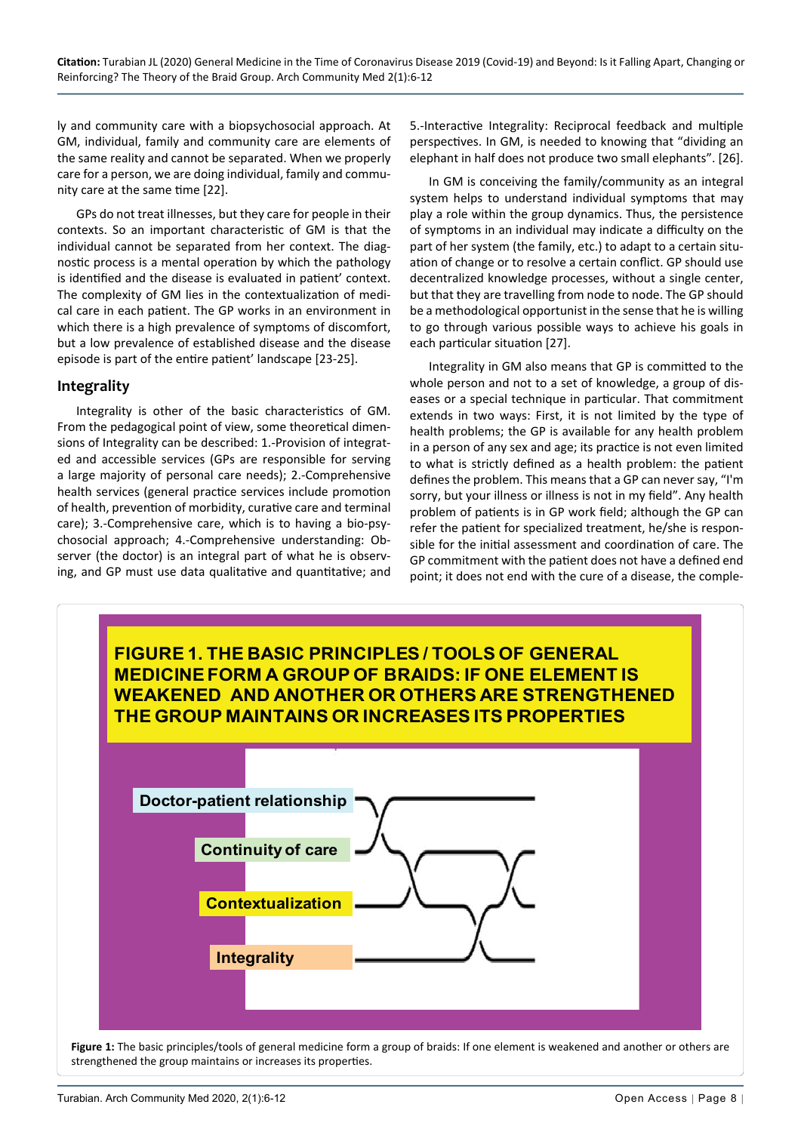ly and community care with a biopsychosocial approach. At GM, individual, family and community care are elements of the same reality and cannot be separated. When we properly care for a person, we are doing individual, family and community care at the same time [22].

GPs do not treat illnesses, but they care for people in their contexts. So an important characteristic of GM is that the individual cannot be separated from her context. The diagnostic process is a mental operation by which the pathology is identified and the disease is evaluated in patient' context. The complexity of GM lies in the contextualization of medical care in each patient. The GP works in an environment in which there is a high prevalence of symptoms of discomfort, but a low prevalence of established disease and the disease episode is part of the entire patient' landscape [23-25].

#### **Integrality**

Integrality is other of the basic characteristics of GM. From the pedagogical point of view, some theoretical dimensions of Integrality can be described: 1.-Provision of integrated and accessible services (GPs are responsible for serving a large majority of personal care needs); 2.-Comprehensive health services (general practice services include promotion of health, prevention of morbidity, curative care and terminal care); 3.-Comprehensive care, which is to having a bio-psychosocial approach; 4.-Comprehensive understanding: Observer (the doctor) is an integral part of what he is observing, and GP must use data qualitative and quantitative; and 5.-Interactive Integrality: Reciprocal feedback and multiple perspectives. In GM, is needed to knowing that "dividing an elephant in half does not produce two small elephants". [26].

In GM is conceiving the family/community as an integral system helps to understand individual symptoms that may play a role within the group dynamics. Thus, the persistence of symptoms in an individual may indicate a difficulty on the part of her system (the family, etc.) to adapt to a certain situation of change or to resolve a certain conflict. GP should use decentralized knowledge processes, without a single center, but that they are travelling from node to node. The GP should be a methodological opportunist in the sense that he is willing to go through various possible ways to achieve his goals in each particular situation [27].

Integrality in GM also means that GP is committed to the whole person and not to a set of knowledge, a group of diseases or a special technique in particular. That commitment extends in two ways: First, it is not limited by the type of health problems; the GP is available for any health problem in a person of any sex and age; its practice is not even limited to what is strictly defined as a health problem: the patient defines the problem. This means that a GP can never say, "I'm sorry, but your illness or illness is not in my field". Any health problem of patients is in GP work field; although the GP can refer the patient for specialized treatment, he/she is responsible for the initial assessment and coordination of care. The GP commitment with the patient does not have a defined end point; it does not end with the cure of a disease, the comple-

<span id="page-2-0"></span>

**Figure 1:** The basic principles/tools of general medicine form a group of braids: If one element is weakened and another or others are strengthened the group maintains or increases its properties.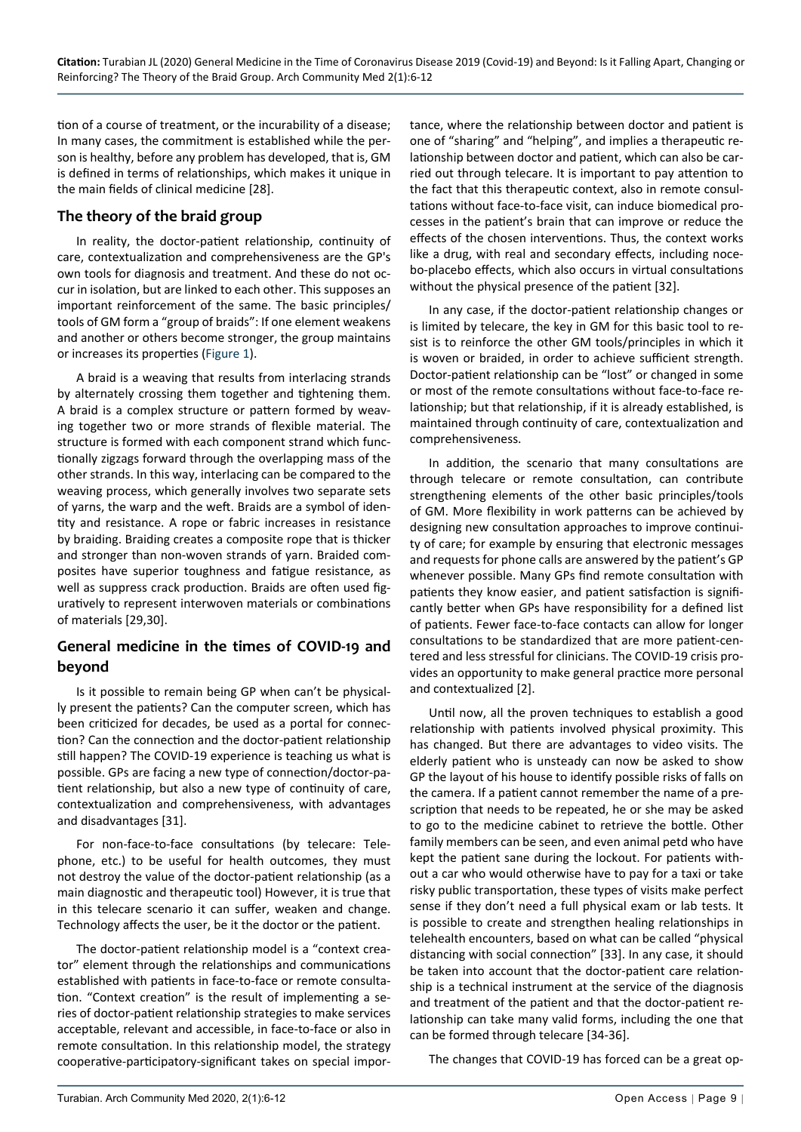tion of a course of treatment, or the incurability of a disease; In many cases, the commitment is established while the person is healthy, before any problem has developed, that is, GM is defined in terms of relationships, which makes it unique in the main fields of clinical medicine [28].

#### **The theory of the braid group**

In reality, the doctor-patient relationship, continuity of care, contextualization and comprehensiveness are the GP's own tools for diagnosis and treatment. And these do not occur in isolation, but are linked to each other. This supposes an important reinforcement of the same. The basic principles/ tools of GM form a "group of braids": If one element weakens and another or others become stronger, the group maintains or increases its properties ([Figure 1\)](#page-2-0).

A braid is a weaving that results from interlacing strands by alternately crossing them together and tightening them. A braid is a complex structure or pattern formed by weaving together two or more strands of flexible material. The structure is formed with each component strand which functionally zigzags forward through the overlapping mass of the other strands. In this way, interlacing can be compared to the weaving process, which generally involves two separate sets of yarns, the warp and the weft. Braids are a symbol of identity and resistance. A rope or fabric increases in resistance by braiding. Braiding creates a composite rope that is thicker and stronger than non-woven strands of yarn. Braided composites have superior toughness and fatigue resistance, as well as suppress crack production. Braids are often used figuratively to represent interwoven materials or combinations of materials [29,30].

## **General medicine in the times of COVID-19 and beyond**

Is it possible to remain being GP when can't be physically present the patients? Can the computer screen, which has been criticized for decades, be used as a portal for connection? Can the connection and the doctor-patient relationship still happen? The COVID-19 experience is teaching us what is possible. GPs are facing a new type of connection/doctor-patient relationship, but also a new type of continuity of care, contextualization and comprehensiveness, with advantages and disadvantages [31].

For non-face-to-face consultations (by telecare: Telephone, etc.) to be useful for health outcomes, they must not destroy the value of the doctor-patient relationship (as a main diagnostic and therapeutic tool) However, it is true that in this telecare scenario it can suffer, weaken and change. Technology affects the user, be it the doctor or the patient.

The doctor-patient relationship model is a "context creator" element through the relationships and communications established with patients in face-to-face or remote consultation. "Context creation" is the result of implementing a series of doctor-patient relationship strategies to make services acceptable, relevant and accessible, in face-to-face or also in remote consultation. In this relationship model, the strategy cooperative-participatory-significant takes on special importance, where the relationship between doctor and patient is one of "sharing" and "helping", and implies a therapeutic relationship between doctor and patient, which can also be carried out through telecare. It is important to pay attention to the fact that this therapeutic context, also in remote consultations without face-to-face visit, can induce biomedical processes in the patient's brain that can improve or reduce the effects of the chosen interventions. Thus, the context works like a drug, with real and secondary effects, including nocebo-placebo effects, which also occurs in virtual consultations without the physical presence of the patient [32].

In any case, if the doctor-patient relationship changes or is limited by telecare, the key in GM for this basic tool to resist is to reinforce the other GM tools/principles in which it is woven or braided, in order to achieve sufficient strength. Doctor-patient relationship can be "lost" or changed in some or most of the remote consultations without face-to-face relationship; but that relationship, if it is already established, is maintained through continuity of care, contextualization and comprehensiveness.

In addition, the scenario that many consultations are through telecare or remote consultation, can contribute strengthening elements of the other basic principles/tools of GM. More flexibility in work patterns can be achieved by designing new consultation approaches to improve continuity of care; for example by ensuring that electronic messages and requests for phone calls are answered by the patient's GP whenever possible. Many GPs find remote consultation with patients they know easier, and patient satisfaction is significantly better when GPs have responsibility for a defined list of patients. Fewer face-to-face contacts can allow for longer consultations to be standardized that are more patient-centered and less stressful for clinicians. The COVID-19 crisis provides an opportunity to make general practice more personal and contextualized [2].

Until now, all the proven techniques to establish a good relationship with patients involved physical proximity. This has changed. But there are advantages to video visits. The elderly patient who is unsteady can now be asked to show GP the layout of his house to identify possible risks of falls on the camera. If a patient cannot remember the name of a prescription that needs to be repeated, he or she may be asked to go to the medicine cabinet to retrieve the bottle. Other family members can be seen, and even animal petd who have kept the patient sane during the lockout. For patients without a car who would otherwise have to pay for a taxi or take risky public transportation, these types of visits make perfect sense if they don't need a full physical exam or lab tests. It is possible to create and strengthen healing relationships in telehealth encounters, based on what can be called "physical distancing with social connection" [33]. In any case, it should be taken into account that the doctor-patient care relationship is a technical instrument at the service of the diagnosis and treatment of the patient and that the doctor-patient relationship can take many valid forms, including the one that can be formed through telecare [34-36].

The changes that COVID-19 has forced can be a great op-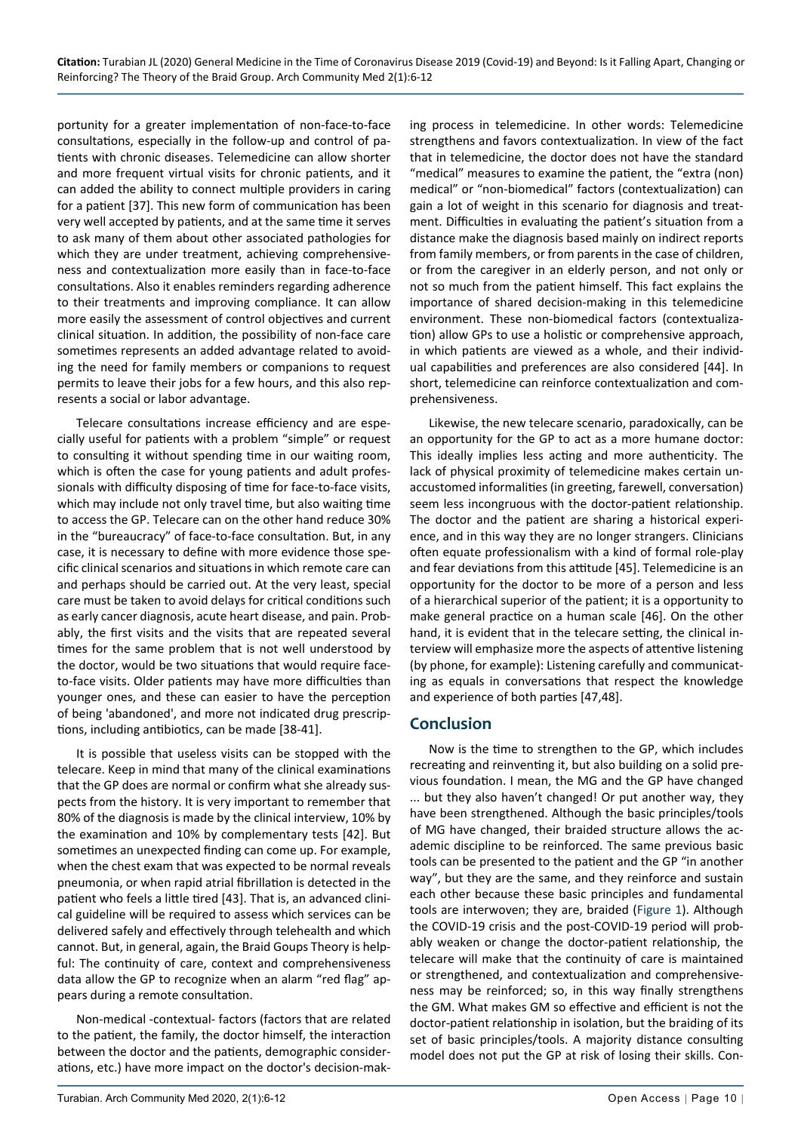portunity for a greater implementation of non-face-to-face consultations, especially in the follow-up and control of patients with chronic diseases. Telemedicine can allow shorter and more frequent virtual visits for chronic patients, and it can added the ability to connect multiple providers in caring for a patient [37]. This new form of communication has been very well accepted by patients, and at the same time it serves to ask many of them about other associated pathologies for which they are under treatment, achieving comprehensiveness and contextualization more easily than in face-to-face consultations. Also it enables reminders regarding adherence to their treatments and improving compliance. It can allow more easily the assessment of control objectives and current clinical situation. In addition, the possibility of non-face care sometimes represents an added advantage related to avoiding the need for family members or companions to request permits to leave their jobs for a few hours, and this also represents a social or labor advantage.

Telecare consultations increase efficiency and are especially useful for patients with a problem "simple" or request to consulting it without spending time in our waiting room, which is often the case for young patients and adult professionals with difficulty disposing of time for face-to-face visits, which may include not only travel time, but also waiting time to access the GP. Telecare can on the other hand reduce 30% in the "bureaucracy" of face-to-face consultation. But, in any case, it is necessary to define with more evidence those specific clinical scenarios and situations in which remote care can and perhaps should be carried out. At the very least, special care must be taken to avoid delays for critical conditions such as early cancer diagnosis, acute heart disease, and pain. Probably, the first visits and the visits that are repeated several times for the same problem that is not well understood by the doctor, would be two situations that would require faceto-face visits. Older patients may have more difficulties than younger ones, and these can easier to have the perception of being 'abandoned', and more not indicated drug prescriptions, including antibiotics, can be made [38-41].

It is possible that useless visits can be stopped with the telecare. Keep in mind that many of the clinical examinations that the GP does are normal or confirm what she already suspects from the history. It is very important to remember that 80% of the diagnosis is made by the clinical interview, 10% by the examination and 10% by complementary tests [42]. But sometimes an unexpected finding can come up. For example, when the chest exam that was expected to be normal reveals pneumonia, or when rapid atrial fibrillation is detected in the patient who feels a little tired [43]. That is, an advanced clinical guideline will be required to assess which services can be delivered safely and effectively through telehealth and which cannot. But, in general, again, the Braid Goups Theory is helpful: The continuity of care, context and comprehensiveness data allow the GP to recognize when an alarm "red flag" appears during a remote consultation.

Non-medical -contextual- factors (factors that are related to the patient, the family, the doctor himself, the interaction between the doctor and the patients, demographic considerations, etc.) have more impact on the doctor's decision-making process in telemedicine. In other words: Telemedicine strengthens and favors contextualization. In view of the fact that in telemedicine, the doctor does not have the standard "medical" measures to examine the patient, the "extra (non) medical" or "non-biomedical" factors (contextualization) can gain a lot of weight in this scenario for diagnosis and treatment. Difficulties in evaluating the patient's situation from a distance make the diagnosis based mainly on indirect reports from family members, or from parents in the case of children, or from the caregiver in an elderly person, and not only or not so much from the patient himself. This fact explains the importance of shared decision-making in this telemedicine environment. These non-biomedical factors (contextualization) allow GPs to use a holistic or comprehensive approach, in which patients are viewed as a whole, and their individual capabilities and preferences are also considered [44]. In short, telemedicine can reinforce contextualization and comprehensiveness.

Likewise, the new telecare scenario, paradoxically, can be an opportunity for the GP to act as a more humane doctor: This ideally implies less acting and more authenticity. The lack of physical proximity of telemedicine makes certain unaccustomed informalities (in greeting, farewell, conversation) seem less incongruous with the doctor-patient relationship. The doctor and the patient are sharing a historical experience, and in this way they are no longer strangers. Clinicians often equate professionalism with a kind of formal role-play and fear deviations from this attitude [45]. Telemedicine is an opportunity for the doctor to be more of a person and less of a hierarchical superior of the patient; it is a opportunity to make general practice on a human scale [46]. On the other hand, it is evident that in the telecare setting, the clinical interview will emphasize more the aspects of attentive listening (by phone, for example): Listening carefully and communicating as equals in conversations that respect the knowledge and experience of both parties [47,48].

## **Conclusion**

Now is the time to strengthen to the GP, which includes recreating and reinventing it, but also building on a solid previous foundation. I mean, the MG and the GP have changed ... but they also haven't changed! Or put another way, they have been strengthened. Although the basic principles/tools of MG have changed, their braided structure allows the academic discipline to be reinforced. The same previous basic tools can be presented to the patient and the GP "in another way", but they are the same, and they reinforce and sustain each other because these basic principles and fundamental tools are interwoven; they are, braided ([Figure 1](#page-2-0)). Although the COVID-19 crisis and the post-COVID-19 period will probably weaken or change the doctor-patient relationship, the telecare will make that the continuity of care is maintained or strengthened, and contextualization and comprehensiveness may be reinforced; so, in this way finally strengthens the GM. What makes GM so effective and efficient is not the doctor-patient relationship in isolation, but the braiding of its set of basic principles/tools. A majority distance consulting model does not put the GP at risk of losing their skills. Con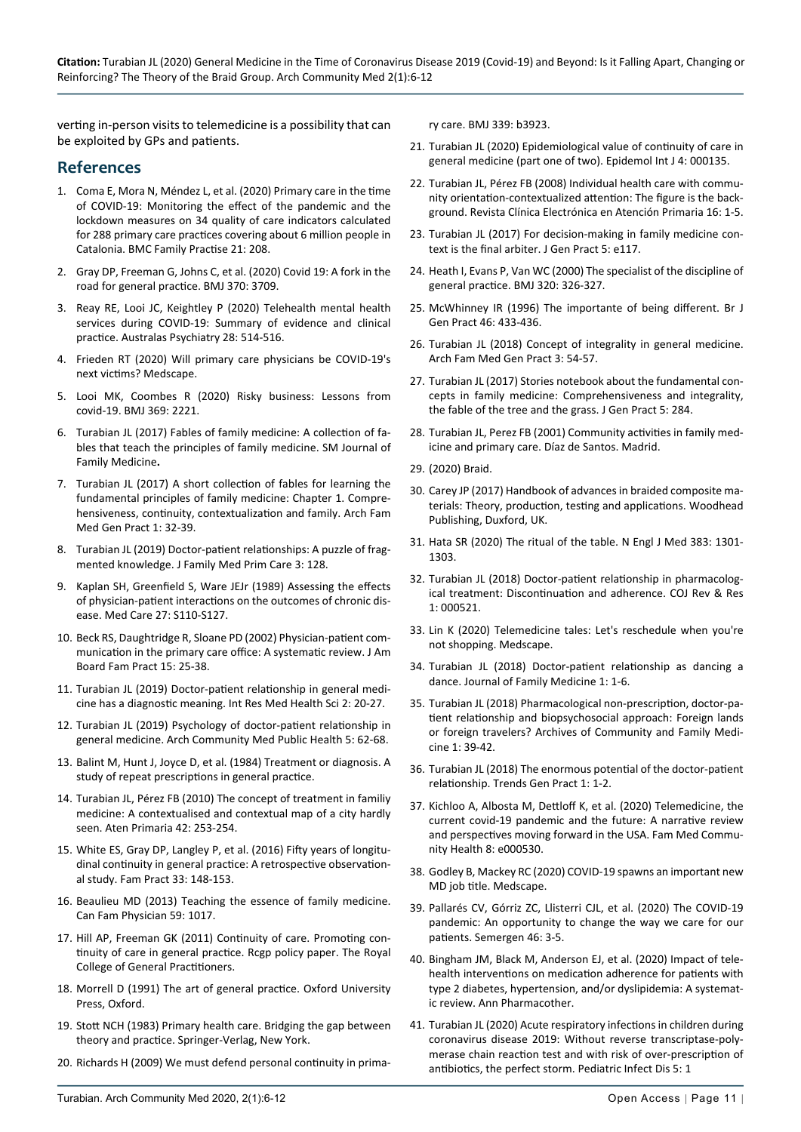verting in-person visits to telemedicine is a possibility that can be exploited by GPs and patients.

#### **References**

- 1. [Coma E, Mora N, Méndez L, et al. \(2020\) Primary care in the time](https://bmcfampract.biomedcentral.com/articles/10.1186/s12875-020-01278-8)  [of COVID-19: Monitoring the effect of the pandemic and the](https://bmcfampract.biomedcentral.com/articles/10.1186/s12875-020-01278-8)  [lockdown measures on 34 quality of care indicators calculated](https://bmcfampract.biomedcentral.com/articles/10.1186/s12875-020-01278-8)  [for 288 primary care practices covering about 6 million people in](https://bmcfampract.biomedcentral.com/articles/10.1186/s12875-020-01278-8)  [Catalonia. BMC Family Practise 21: 208.](https://bmcfampract.biomedcentral.com/articles/10.1186/s12875-020-01278-8)
- 2. [Gray DP, Freeman G, Johns C, et al. \(2020\) Covid 19: A fork in the](https://pubmed.ncbi.nlm.nih.gov/32988832/)  [road for general practice. BMJ 370: 3709.](https://pubmed.ncbi.nlm.nih.gov/32988832/)
- 3. [Reay RE, Looi JC, Keightley P \(2020\) Telehealth mental health](https://pubmed.ncbi.nlm.nih.gov/32722963/)  [services during COVID-19: Summary of evidence and clinical](https://pubmed.ncbi.nlm.nih.gov/32722963/)  [practice. Australas Psychiatry 28: 514-516.](https://pubmed.ncbi.nlm.nih.gov/32722963/)
- 4. [Frieden RT \(2020\) Will primary care physicians be COVID-19's](https://www.medscape.com/viewarticle/932490)  [next victims? Medscape.](https://www.medscape.com/viewarticle/932490)
- 5. [Looi MK, Coombes R \(2020\) Risky business: Lessons from](https://pubmed.ncbi.nlm.nih.gov/32503802/)  [covid-19. BMJ 369: 2221.](https://pubmed.ncbi.nlm.nih.gov/32503802/)
- 6. [Turabian JL \(2017\) Fables of family medicine: A collection of fa](https://smjournals.com/family-medicine/fulltext/smjfm-v1-1006.php)[bles that teach the principles of family medicine. SM Journal of](https://smjournals.com/family-medicine/fulltext/smjfm-v1-1006.php)  [Family Medicine](https://smjournals.com/family-medicine/fulltext/smjfm-v1-1006.php)**.**
- 7. [Turabian JL \(2017\) A short collection of fables for learning the](https://scholars.direct/Articles/family-medicine/afp-2-006.php?jid=family-medicine)  [fundamental principles of family medicine: Chapter 1. Compre](https://scholars.direct/Articles/family-medicine/afp-2-006.php?jid=family-medicine)[hensiveness, continuity, contextualization and family. Arch Fam](https://scholars.direct/Articles/family-medicine/afp-2-006.php?jid=family-medicine)  [Med Gen Pract 1: 32-39.](https://scholars.direct/Articles/family-medicine/afp-2-006.php?jid=family-medicine)
- 8. [Turabian JL \(2019\) Doctor-patient relationships: A puzzle of frag](https://www.gavinpublishers.com/articles/Research-Article/Family-Medicine-and-Primary-Care-Open-Access/doctor-patient-relationships-a-puzzle-of-fragmented-knowledge)[mented knowledge. J Family Med Prim Care 3: 128.](https://www.gavinpublishers.com/articles/Research-Article/Family-Medicine-and-Primary-Care-Open-Access/doctor-patient-relationships-a-puzzle-of-fragmented-knowledge)
- 9. [Kaplan SH, Greenfield S, Ware JEJr \(1989\) Assessing the effects](https://pubmed.ncbi.nlm.nih.gov/2646486/)  [of physician-patient interactions on the outcomes of chronic dis](https://pubmed.ncbi.nlm.nih.gov/2646486/)[ease. Med Care 27: S110-S127.](https://pubmed.ncbi.nlm.nih.gov/2646486/)
- 10. [Beck RS, Daughtridge R, Sloane PD \(2002\) Physician-patient com](https://pubmed.ncbi.nlm.nih.gov/11841136/)[munication in the primary care office: A systematic review. J Am](https://pubmed.ncbi.nlm.nih.gov/11841136/)  [Board Fam Pract 15: 25-38.](https://pubmed.ncbi.nlm.nih.gov/11841136/)
- 11. [Turabian JL \(2019\) Doctor-patient relationship in general medi](https://www.irmhs.com/index.php/irmhs/article/view/7)[cine has a diagnostic meaning. Int Res Med Health Sci 2: 20-27.](https://www.irmhs.com/index.php/irmhs/article/view/7)
- 12. [Turabian JL \(2019\) Psychology of doctor-patient relationship in](https://www.peertechz.com/articles/ACMPH-5-156.php)  [general medicine. Arch Community Med Public Health 5: 62-68.](https://www.peertechz.com/articles/ACMPH-5-156.php)
- 13. Balint M, Hunt J, Joyce D, et al. (1984) Treatment or diagnosis. A study of repeat prescriptions in general practice.
- 14. [Turabian JL, Pérez FB \(2010\) The concept of treatment in familiy](https://pubmed.ncbi.nlm.nih.gov/20207448/)  [medicine: A contextualised and contextual map of a city hardly](https://pubmed.ncbi.nlm.nih.gov/20207448/)  [seen. Aten Primaria 42: 253-254.](https://pubmed.ncbi.nlm.nih.gov/20207448/)
- 15. [White ES, Gray DP, Langley P, et al. \(2016\) Fifty years of longitu](https://pubmed.ncbi.nlm.nih.gov/26895634/)[dinal continuity in general practice: A retrospective observation](https://pubmed.ncbi.nlm.nih.gov/26895634/)[al study. Fam Pract 33: 148-153.](https://pubmed.ncbi.nlm.nih.gov/26895634/)
- 16. [Beaulieu MD \(2013\) Teaching the essence of family medicine.](https://www.ncbi.nlm.nih.gov/pmc/articles/PMC3771732/)  [Can Fam Physician 59: 1017.](https://www.ncbi.nlm.nih.gov/pmc/articles/PMC3771732/)
- 17. Hill AP, Freeman GK (2011) Continuity of care. Promoting continuity of care in general practice. Rcgp policy paper. The Royal College of General Practitioners.
- 18. Morrell D (1991) The art of general practice. Oxford University Press, Oxford.
- 19. Stott NCH (1983) Primary health care. Bridging the gap between theory and practice. Springer-Verlag, New York.
- 20. [Richards H \(2009\) We must defend personal continuity in prima](https://www.bmj.com/content/339/bmj.b3923)-

[ry care. BMJ 339: b3923](https://www.bmj.com/content/339/bmj.b3923).

- 21. [Turabian JL \(2020\) Epidemiological value of continuity of care in](https://medwinpublishers.com/EIJ/EIJ16000135.pdf)  [general medicine \(part one of two\). Epidemol Int J 4: 000135.](https://medwinpublishers.com/EIJ/EIJ16000135.pdf)
- 22. [Turabian JL, Pérez FB \(2008\) Individual health care with commu](https://ddd.uab.cat/pub/rceap/rceap_a2008m9n16/rceap_a2008m9n16a8.pdf)[nity orientation-contextualized attention: The figure is the back](https://ddd.uab.cat/pub/rceap/rceap_a2008m9n16/rceap_a2008m9n16a8.pdf)[ground. Revista Clínica Electrónica en Atención Primaria 16: 1-5.](https://ddd.uab.cat/pub/rceap/rceap_a2008m9n16/rceap_a2008m9n16a8.pdf)
- 23. [Turabian JL \(2017\) For decision-making in family medicine con](https://www.hilarispublisher.com/open-access/for-decisionmaking-in-family-medicine-context-is-the-final-arbiter-2329-9126-1000e117.pdf)[text is the final arbiter. J Gen Pract 5: e117.](https://www.hilarispublisher.com/open-access/for-decisionmaking-in-family-medicine-context-is-the-final-arbiter-2329-9126-1000e117.pdf)
- 24. [Heath I, Evans P, Van WC \(2000\) The specialist of the discipline of](https://www.ncbi.nlm.nih.gov/pmc/articles/PMC1127121/)  [general practice. BMJ 320: 326-327.](https://www.ncbi.nlm.nih.gov/pmc/articles/PMC1127121/)
- 25. [McWhinney IR \(1996\) The importante of being different. Br J](https://www.ncbi.nlm.nih.gov/pmc/articles/PMC1239699/)  [Gen Pract 46: 433-436.](https://www.ncbi.nlm.nih.gov/pmc/articles/PMC1239699/)
- 26. [Turabian JL \(2018\) Concept of integrality in general medicine.](https://scholars.direct/Articles/family-medicine/afmgp-3-009.pdf)  [Arch Fam Med Gen Pract 3: 54-57.](https://scholars.direct/Articles/family-medicine/afmgp-3-009.pdf)
- 27. [Turabian JL \(2017\) Stories notebook about the fundamental con](https://www.hilarispublisher.com/open-access/stories-notebook-about-the-fundamental-concepts-in-family-medicinecomprehensiveness-and-integrality-the-fable-of-the-tree-and-the-2329-9126-1000284.pdf)[cepts in family medicine: Comprehensiveness and integrality,](https://www.hilarispublisher.com/open-access/stories-notebook-about-the-fundamental-concepts-in-family-medicinecomprehensiveness-and-integrality-the-fable-of-the-tree-and-the-2329-9126-1000284.pdf)  [the fable of the tree and the grass. J Gen Pract 5: 284.](https://www.hilarispublisher.com/open-access/stories-notebook-about-the-fundamental-concepts-in-family-medicinecomprehensiveness-and-integrality-the-fable-of-the-tree-and-the-2329-9126-1000284.pdf)
- 28. Turabian JL, Perez FB (2001) Community activities in family medicine and primary care. Díaz de Santos. Madrid.
- 29. [\(2020\) Braid.](https://en.wikipedia.org/wiki/Braid)
- 30. Carey JP (2017) Handbook of advances in braided composite materials: Theory, production, testing and applications. Woodhead Publishing, Duxford, UK.
- 31. [Hata SR \(2020\) The ritual of the table. N Engl J Med 383: 1301-](https://www.nejm.org/doi/full/10.1056/NEJMp2014455) [1303.](https://www.nejm.org/doi/full/10.1056/NEJMp2014455)
- 32. [Turabian JL \(2018\) Doctor-patient relationship in pharmacolog](https://crimsonpublishers.com/cojrr/pdf/COJRR.000521.pdf)[ical treatment: Discontinuation and adherence. COJ Rev & Res](https://crimsonpublishers.com/cojrr/pdf/COJRR.000521.pdf)  [1: 000521.](https://crimsonpublishers.com/cojrr/pdf/COJRR.000521.pdf)
- 33. [Lin K \(2020\) Telemedicine tales: Let's reschedule when you're](https://www.medscape.com/viewarticle/930716?nlid=135634_4663&src=WNL_mdplsnews_200522_mscpedit_fmed&uac=327178AR&spon=34&impID=2391419&faf=1)  [not shopping. Medscape.](https://www.medscape.com/viewarticle/930716?nlid=135634_4663&src=WNL_mdplsnews_200522_mscpedit_fmed&uac=327178AR&spon=34&impID=2391419&faf=1)
- 34. [Turabian JL \(2018\) Doctor-patient relationship as dancing a](https://openaccesspub.org/jfm/article/912)  [dance. Journal of Family Medicine 1: 1-6.](https://openaccesspub.org/jfm/article/912)
- 35. [Turabian JL \(2018\) Pharmacological non-prescription, doctor-pa](https://www.sryahwapublications.com/archives-of-community-and-family-medicine/pdf/v1-i2/6.pdf)[tient relationship and biopsychosocial approach: Foreign lands](https://www.sryahwapublications.com/archives-of-community-and-family-medicine/pdf/v1-i2/6.pdf)  [or foreign travelers? Archives of Community and Family Medi](https://www.sryahwapublications.com/archives-of-community-and-family-medicine/pdf/v1-i2/6.pdf)[cine 1: 39-42.](https://www.sryahwapublications.com/archives-of-community-and-family-medicine/pdf/v1-i2/6.pdf)
- 36. [Turabian JL \(2018\) The enormous potential of the doctor-patient](https://www.oatext.com/pdf/TGP-1-115.pdf)  [relationship. Trends Gen Pract 1: 1-2.](https://www.oatext.com/pdf/TGP-1-115.pdf)
- 37. [Kichloo A, Albosta M, Dettloff K, et al. \(2020\) Telemedicine, the](https://www.ncbi.nlm.nih.gov/pmc/articles/PMC7437610/)  [current covid-19 pandemic and the future: A narrative review](https://www.ncbi.nlm.nih.gov/pmc/articles/PMC7437610/)  [and perspectives moving forward in the USA. Fam Med Commu](https://www.ncbi.nlm.nih.gov/pmc/articles/PMC7437610/)[nity Health 8: e000530.](https://www.ncbi.nlm.nih.gov/pmc/articles/PMC7437610/)
- 38. [Godley B, Mackey RC \(2020\) COVID-19 spawns an important new](https://www.medscape.com/viewarticle/931831)  [MD job title. Medscape.](https://www.medscape.com/viewarticle/931831)
- 39. [Pallarés CV, Górriz ZC, Llisterri CJL, et al. \(2020\) The COVID-19](https://pubmed.ncbi.nlm.nih.gov/32446589/)  [pandemic: An opportunity to change the way we care for our](https://pubmed.ncbi.nlm.nih.gov/32446589/)  [patients. Semergen 46: 3-5.](https://pubmed.ncbi.nlm.nih.gov/32446589/)
- 40. [Bingham JM, Black M, Anderson EJ, et al. \(2020\) Impact of tele](https://pubmed.ncbi.nlm.nih.gov/32815400/)[health interventions on medication adherence for patients with](https://pubmed.ncbi.nlm.nih.gov/32815400/)  [type 2 diabetes, hypertension, and/or dyslipidemia: A systemat](https://pubmed.ncbi.nlm.nih.gov/32815400/)[ic review. Ann Pharmacother.](https://pubmed.ncbi.nlm.nih.gov/32815400/)
- 41. [Turabian JL \(2020\) Acute respiratory infections in children during](https://pediatric-infectious-disease.imedpub.com/acute-respiratory-infections-in-children-during-coronavirus-disease-2019-without-reverse-transcriptasepolymerase-chain-reaction-te.pdf)  [coronavirus disease 2019: Without reverse transcriptase-poly](https://pediatric-infectious-disease.imedpub.com/acute-respiratory-infections-in-children-during-coronavirus-disease-2019-without-reverse-transcriptasepolymerase-chain-reaction-te.pdf)[merase chain reaction test and with risk of over-prescription of](https://pediatric-infectious-disease.imedpub.com/acute-respiratory-infections-in-children-during-coronavirus-disease-2019-without-reverse-transcriptasepolymerase-chain-reaction-te.pdf)  [antibiotics, the perfect storm. Pediatric Infect Dis 5: 1](https://pediatric-infectious-disease.imedpub.com/acute-respiratory-infections-in-children-during-coronavirus-disease-2019-without-reverse-transcriptasepolymerase-chain-reaction-te.pdf)